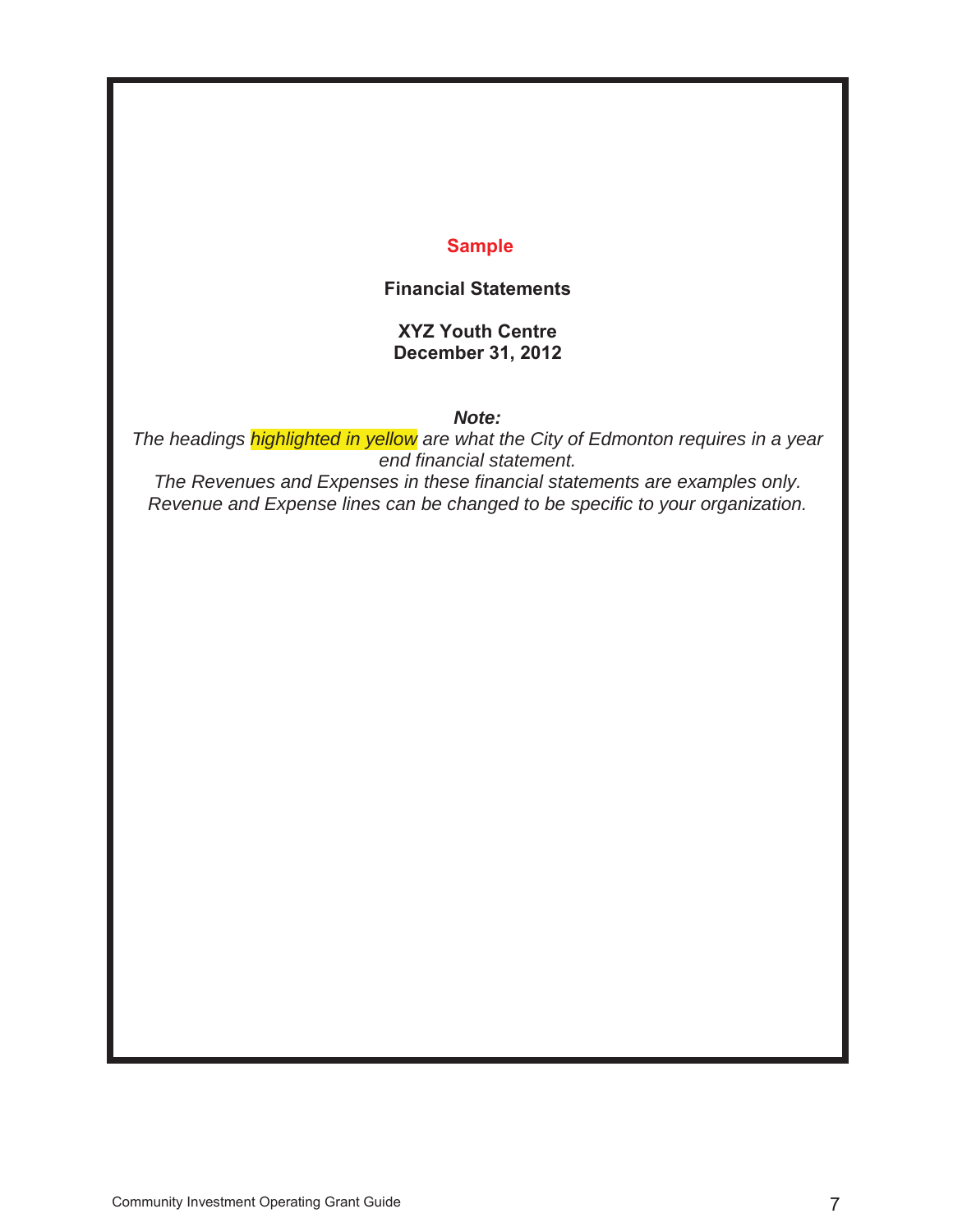## **Sample**

#### **Financial Statements**

#### **XYZ Youth Centre December 31, 2012**

*Note:*

*The headings highlighted in yellow are what the City of Edmonton requires in a year end financial statement. The Revenues and Expenses in these financial statements are examples only.*

*Revenue and Expense lines can be changed to be specific to your organization.*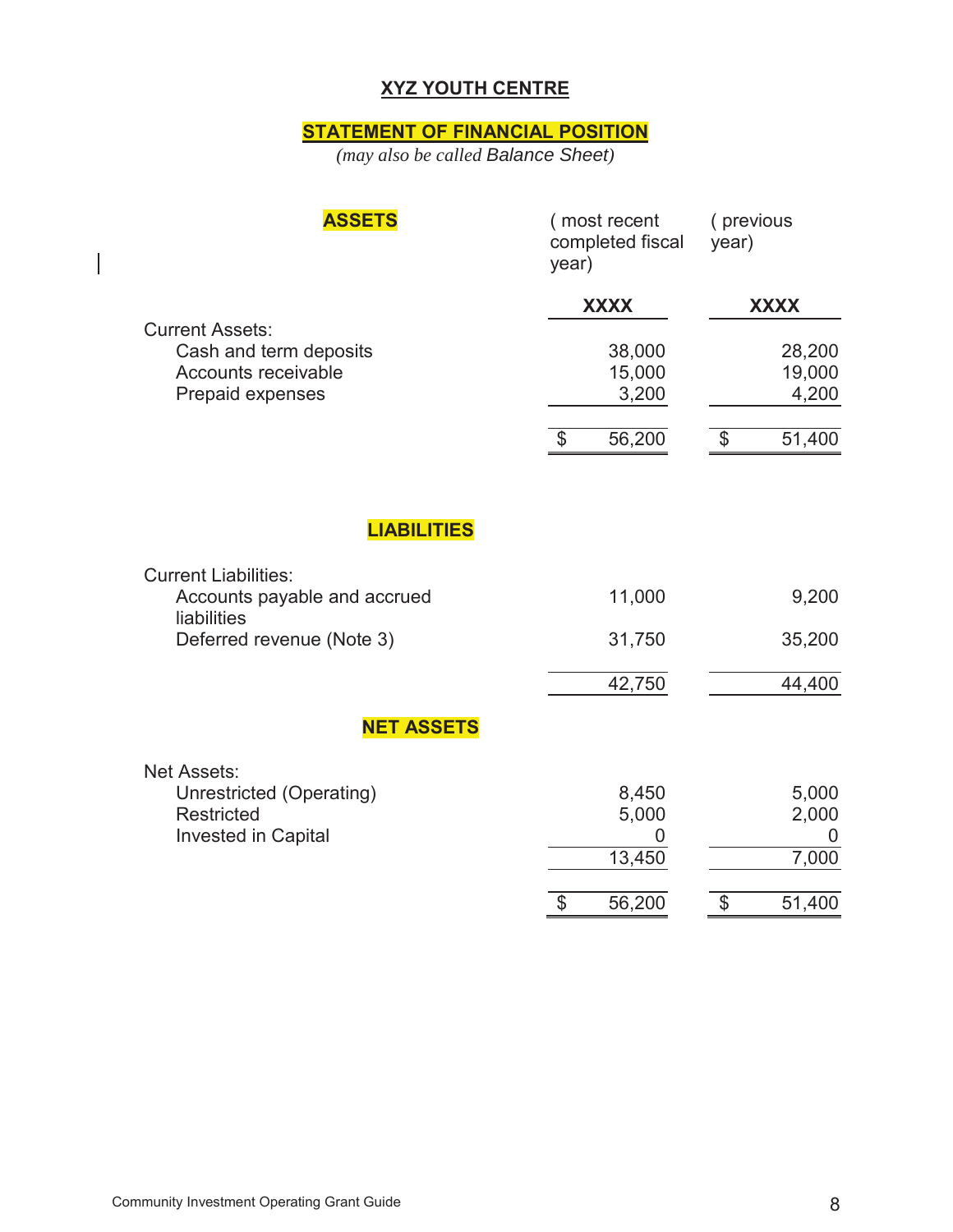# **XYZ YOUTH CENTRE**

# **STATEMENT OF FINANCIAL POSITION**

*(may also be called Balance Sheet)*

| <b>ASSETS</b>                                                                                     | (most recent<br>completed fiscal<br>year) | (previous<br>year)           |
|---------------------------------------------------------------------------------------------------|-------------------------------------------|------------------------------|
|                                                                                                   | <b>XXXX</b>                               | <b>XXXX</b>                  |
| <b>Current Assets:</b><br>Cash and term deposits<br>Accounts receivable<br>Prepaid expenses       | 38,000<br>15,000<br>3,200                 | 28,200<br>19,000<br>4,200    |
|                                                                                                   | 56,200<br>\$                              | \$<br>51,400                 |
| <b>LIABILITIES</b>                                                                                |                                           |                              |
| <b>Current Liabilities:</b><br>Accounts payable and accrued<br>liabilities                        | 11,000                                    | 9,200                        |
| Deferred revenue (Note 3)                                                                         | 31,750                                    | 35,200                       |
|                                                                                                   | 42,750                                    | 44,400                       |
| <b>NET ASSETS</b>                                                                                 |                                           |                              |
| <b>Net Assets:</b><br>Unrestricted (Operating)<br><b>Restricted</b><br><b>Invested in Capital</b> | 8,450<br>5,000<br>13,450                  | 5,000<br>2,000<br>O<br>7,000 |
|                                                                                                   | 56,200<br>\$                              | 51,400<br>\$                 |

 $\overline{\phantom{a}}$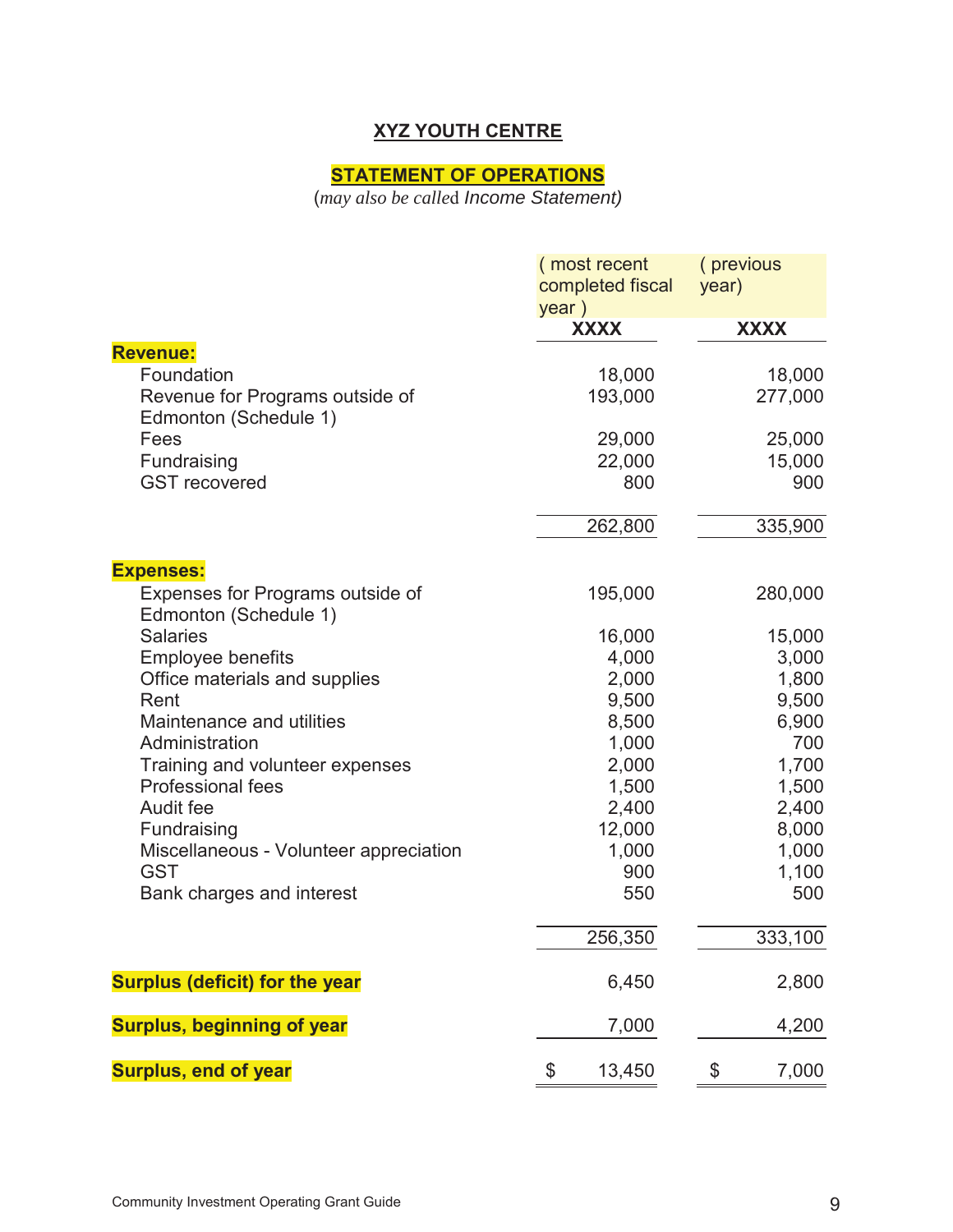# **XYZ YOUTH CENTRE**

## **STATEMENT OF OPERATIONS**

(*may also be calle*d *Income Statement)*

|                                                           | (most recent<br>completed fiscal<br>year) | (previous<br>year) |
|-----------------------------------------------------------|-------------------------------------------|--------------------|
|                                                           | <b>XXXX</b>                               | <b>XXXX</b>        |
| <b>Revenue:</b>                                           |                                           |                    |
| Foundation                                                | 18,000                                    | 18,000             |
| Revenue for Programs outside of<br>Edmonton (Schedule 1)  | 193,000                                   | 277,000            |
| Fees                                                      | 29,000                                    | 25,000             |
| Fundraising                                               | 22,000                                    | 15,000             |
| <b>GST</b> recovered                                      | 800                                       | 900                |
|                                                           | 262,800                                   | 335,900            |
| <b>Expenses:</b>                                          |                                           |                    |
| Expenses for Programs outside of<br>Edmonton (Schedule 1) | 195,000                                   | 280,000            |
| <b>Salaries</b>                                           | 16,000                                    | 15,000             |
| <b>Employee benefits</b>                                  | 4,000                                     | 3,000              |
| Office materials and supplies                             | 2,000                                     | 1,800              |
| Rent                                                      | 9,500                                     | 9,500              |
| Maintenance and utilities                                 | 8,500                                     | 6,900              |
| Administration                                            | 1,000                                     | 700                |
| Training and volunteer expenses                           | 2,000                                     | 1,700              |
| <b>Professional fees</b>                                  | 1,500                                     | 1,500              |
| Audit fee                                                 | 2,400                                     | 2,400              |
| Fundraising                                               | 12,000                                    | 8,000              |
| Miscellaneous - Volunteer appreciation<br><b>GST</b>      | 1,000<br>900                              | 1,000              |
| Bank charges and interest                                 | 550                                       | 1,100<br>500       |
|                                                           |                                           |                    |
|                                                           | 256,350                                   | 333,100            |
| <b>Surplus (deficit) for the year</b>                     | 6,450                                     | 2,800              |
| <b>Surplus, beginning of year</b>                         | 7,000                                     | 4,200              |
| <b>Surplus, end of year</b>                               | \$<br>13,450                              | \$<br>7,000        |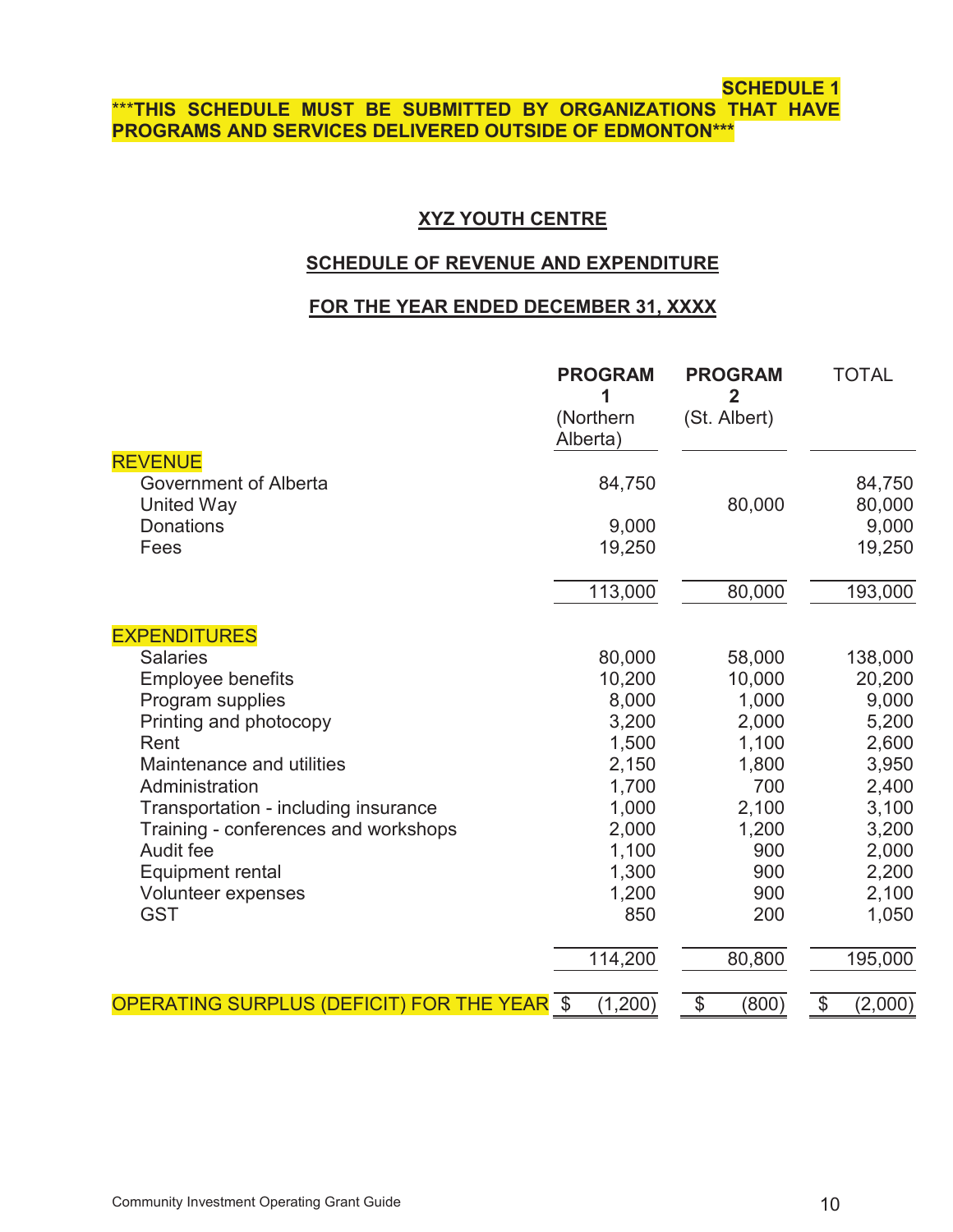#### **SCHEDULE 1** \*\*\***THIS SCHEDULE MUST BE SUBMITTED BY ORGANIZATIONS THAT HAVE PROGRAMS AND SERVICES DELIVERED OUTSIDE OF EDMONTON\*\*\***

## **XYZ YOUTH CENTRE**

### **SCHEDULE OF REVENUE AND EXPENDITURE**

### **FOR THE YEAR ENDED DECEMBER 31, XXXX**

|                                                                                          | <b>PROGRAM</b><br>(Northern<br>Alberta) | <b>PROGRAM</b><br>2<br>(St. Albert) | <b>TOTAL</b>                        |
|------------------------------------------------------------------------------------------|-----------------------------------------|-------------------------------------|-------------------------------------|
| <b>REVENUE</b><br>Government of Alberta<br><b>United Way</b><br><b>Donations</b><br>Fees | 84,750<br>9,000<br>19,250               | 80,000                              | 84,750<br>80,000<br>9,000<br>19,250 |
|                                                                                          | 113,000                                 | 80,000                              | 193,000                             |
| <b>EXPENDITURES</b>                                                                      |                                         |                                     |                                     |
| <b>Salaries</b>                                                                          | 80,000                                  | 58,000                              | 138,000                             |
| <b>Employee benefits</b>                                                                 | 10,200                                  | 10,000                              | 20,200                              |
| Program supplies                                                                         | 8,000                                   | 1,000                               | 9,000                               |
| Printing and photocopy                                                                   | 3,200                                   | 2,000                               | 5,200                               |
| Rent                                                                                     | 1,500                                   | 1,100                               | 2,600                               |
| Maintenance and utilities                                                                | 2,150                                   | 1,800                               | 3,950                               |
| Administration                                                                           | 1,700                                   | 700                                 | 2,400                               |
| Transportation - including insurance                                                     | 1,000                                   | 2,100                               | 3,100                               |
| Training - conferences and workshops                                                     | 2,000                                   | 1,200                               | 3,200                               |
| Audit fee                                                                                | 1,100                                   | 900                                 | 2,000                               |
| <b>Equipment rental</b>                                                                  | 1,300                                   | 900                                 | 2,200                               |
| Volunteer expenses                                                                       | 1,200                                   | 900                                 | 2,100                               |
| <b>GST</b>                                                                               | 850                                     | 200                                 | 1,050                               |
|                                                                                          | 114,200                                 | 80,800                              | 195,000                             |
| OPERATING SURPLUS (DEFICIT) FOR THE YEAR                                                 | \$<br>(1,200)                           | \$<br>(800)                         | $\boldsymbol{\theta}$<br>(2,000)    |